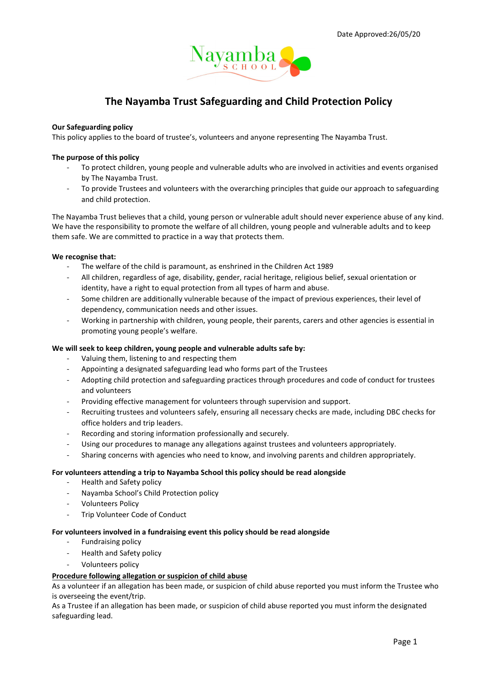

# The Nayamba Trust Safeguarding and Child Protection Policy

## Our Safeguarding policy

This policy applies to the board of trustee's, volunteers and anyone representing The Nayamba Trust.

### The purpose of this policy

- To protect children, young people and vulnerable adults who are involved in activities and events organised by The Nayamba Trust.
- To provide Trustees and volunteers with the overarching principles that guide our approach to safeguarding and child protection.

The Nayamba Trust believes that a child, young person or vulnerable adult should never experience abuse of any kind. We have the responsibility to promote the welfare of all children, young people and vulnerable adults and to keep them safe. We are committed to practice in a way that protects them.

### We recognise that:

- The welfare of the child is paramount, as enshrined in the Children Act 1989
- All children, regardless of age, disability, gender, racial heritage, religious belief, sexual orientation or identity, have a right to equal protection from all types of harm and abuse.
- Some children are additionally vulnerable because of the impact of previous experiences, their level of dependency, communication needs and other issues.
- Working in partnership with children, young people, their parents, carers and other agencies is essential in promoting young people's welfare.

## We will seek to keep children, young people and vulnerable adults safe by:

- Valuing them, listening to and respecting them
- Appointing a designated safeguarding lead who forms part of the Trustees
- Adopting child protection and safeguarding practices through procedures and code of conduct for trustees and volunteers
- Providing effective management for volunteers through supervision and support.
- Recruiting trustees and volunteers safely, ensuring all necessary checks are made, including DBC checks for office holders and trip leaders.
- Recording and storing information professionally and securely.
- Using our procedures to manage any allegations against trustees and volunteers appropriately.
- Sharing concerns with agencies who need to know, and involving parents and children appropriately.

#### For volunteers attending a trip to Nayamba School this policy should be read alongside

- Health and Safety policy
- Nayamba School's Child Protection policy
- Volunteers Policy
- Trip Volunteer Code of Conduct

# For volunteers involved in a fundraising event this policy should be read alongside

- Fundraising policy
- Health and Safety policy
- Volunteers policy

#### Procedure following allegation or suspicion of child abuse

As a volunteer if an allegation has been made, or suspicion of child abuse reported you must inform the Trustee who is overseeing the event/trip.

As a Trustee if an allegation has been made, or suspicion of child abuse reported you must inform the designated safeguarding lead.